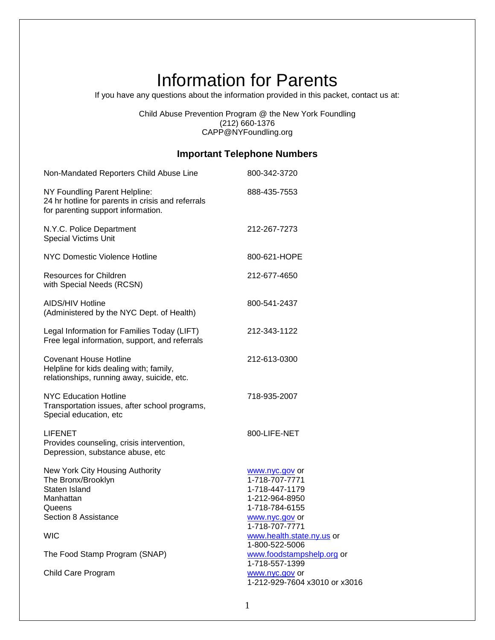# Information for Parents

If you have any questions about the information provided in this packet, contact us at:

Child Abuse Prevention Program @ the New York Foundling (212) 660-1376 CAPP@NYFoundling.org

## **Important Telephone Numbers**

| Non-Mandated Reporters Child Abuse Line                                                                                             | 800-342-3720                                                                                                                                            |
|-------------------------------------------------------------------------------------------------------------------------------------|---------------------------------------------------------------------------------------------------------------------------------------------------------|
| NY Foundling Parent Helpline:<br>24 hr hotline for parents in crisis and referrals<br>for parenting support information.            | 888-435-7553                                                                                                                                            |
| N.Y.C. Police Department<br><b>Special Victims Unit</b>                                                                             | 212-267-7273                                                                                                                                            |
| <b>NYC Domestic Violence Hotline</b>                                                                                                | 800-621-HOPE                                                                                                                                            |
| <b>Resources for Children</b><br>with Special Needs (RCSN)                                                                          | 212-677-4650                                                                                                                                            |
| <b>AIDS/HIV Hotline</b><br>(Administered by the NYC Dept. of Health)                                                                | 800-541-2437                                                                                                                                            |
| Legal Information for Families Today (LIFT)<br>Free legal information, support, and referrals                                       | 212-343-1122                                                                                                                                            |
| <b>Covenant House Hotline</b><br>Helpline for kids dealing with; family,<br>relationships, running away, suicide, etc.              | 212-613-0300                                                                                                                                            |
| <b>NYC Education Hotline</b><br>Transportation issues, after school programs,<br>Special education, etc                             | 718-935-2007                                                                                                                                            |
| <b>LIFENET</b><br>Provides counseling, crisis intervention,<br>Depression, substance abuse, etc                                     | 800-LIFE-NET                                                                                                                                            |
| New York City Housing Authority<br>The Bronx/Brooklyn<br>Staten Island<br>Manhattan<br>Queens<br>Section 8 Assistance<br><b>WIC</b> | www.nyc.gov or<br>1-718-707-7771<br>1-718-447-1179<br>1-212-964-8950<br>1-718-784-6155<br>www.nyc.gov or<br>1-718-707-7771<br>www.health.state.ny.us or |
| The Food Stamp Program (SNAP)                                                                                                       | 1-800-522-5006<br>www.foodstampshelp.org or                                                                                                             |
| Child Care Program                                                                                                                  | 1-718-557-1399<br>www.nyc.gov or<br>1-212-929-7604 x3010 or x3016                                                                                       |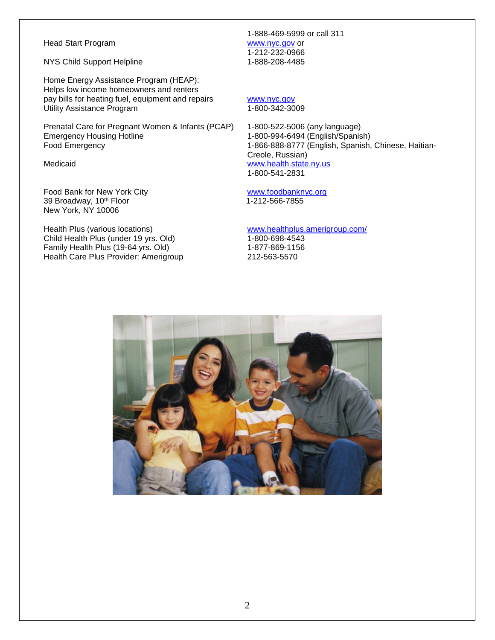#### Head Start Program William Start Program William Start Program William Start Program William Start Program William Start Program William Start Program William Start Program William Start Program William Start Program Willi

NYS Child Support Helpline 1-888-208-4485

Home Energy Assistance Program (HEAP): Helps low income homeowners and renters pay bills for heating fuel, equipment and repairs [www.nyc.gov](http://www.nyc.gov/) Utility Assistance Program 1-800-342-3009

Prenatal Care for Pregnant Women & Infants (PCAP) 1-800-522-5006 (any language) Emergency Housing Hotline 1-800-994-6494 (English/Spanish) Food Emergency 1-866-888-8777 (English, Spanish, Chinese, Haitian-

Food Bank for New York City **WALL CONSERVING** [www.foodbanknyc.org](http://www.foodbanknyc.org/) 39 Broadway, 10<sup>th</sup> Floor 1-212-566-7855 New York, NY 10006

Health Plus (various locations) [www.healthplus.amerigroup.com/](http://www.healthplus.amerigroup.com/) Child Health Plus (under 19 yrs. Old) 1-800-698-4543 Family Health Plus (19-64 yrs. Old) 1-877-869-1156 Health Care Plus Provider: Amerigroup 212-563-5570

1-888-469-5999 or call 311 1-212-232-0966

Creole, Russian) Medicaid [www.health.state.ny.us](http://www.health.state.ny.us/) 1-800-541-2831

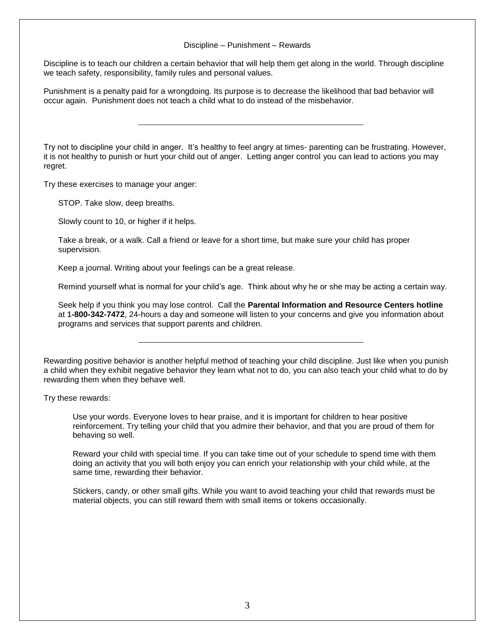#### Discipline – Punishment – Rewards

Discipline is to teach our children a certain behavior that will help them get along in the world. Through discipline we teach safety, responsibility, family rules and personal values.

Punishment is a penalty paid for a wrongdoing. Its purpose is to decrease the likelihood that bad behavior will occur again. Punishment does not teach a child what to do instead of the misbehavior.

Try not to discipline your child in anger. It's healthy to feel angry at times- parenting can be frustrating. However, it is not healthy to punish or hurt your child out of anger. Letting anger control you can lead to actions you may regret.

Try these exercises to manage your anger:

STOP. Take slow, deep breaths.

Slowly count to 10, or higher if it helps.

Take a break, or a walk. Call a friend or leave for a short time, but make sure your child has proper supervision.

Keep a journal. Writing about your feelings can be a great release.

Remind yourself what is normal for your child's age. Think about why he or she may be acting a certain way.

Seek help if you think you may lose control. Call the **Parental Information and Resource Centers hotline** at **1-800-342-7472**, 24-hours a day and someone will listen to your concerns and give you information about programs and services that support parents and children.

Rewarding positive behavior is another helpful method of teaching your child discipline. Just like when you punish a child when they exhibit negative behavior they learn what not to do, you can also teach your child what to do by rewarding them when they behave well.

Try these rewards:

Use your words. Everyone loves to hear praise, and it is important for children to hear positive reinforcement. Try telling your child that you admire their behavior, and that you are proud of them for behaving so well.

Reward your child with special time. If you can take time out of your schedule to spend time with them doing an activity that you will both enjoy you can enrich your relationship with your child while, at the same time, rewarding their behavior.

Stickers, candy, or other small gifts. While you want to avoid teaching your child that rewards must be material objects, you can still reward them with small items or tokens occasionally.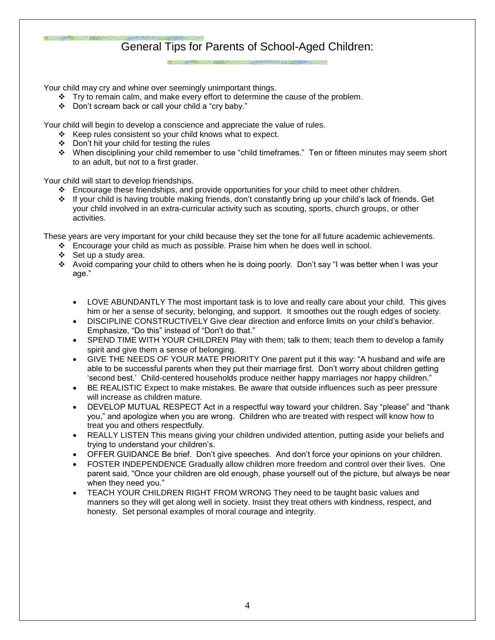#### DELTA ANTEKNOMIK ERRETA ANTEKNOMIK ERRETA ETA General Tips for Parents of School-Aged Children:

from the picture and composition and distribution that

Your child may cry and whine over seemingly unimportant things.

- $\div$  Try to remain calm, and make every effort to determine the cause of the problem.
- \* Don't scream back or call your child a "cry baby."

Your child will begin to develop a conscience and appreciate the value of rules.

- $\div$  Keep rules consistent so your child knows what to expect.
- ❖ Don't hit your child for testing the rules
- When disciplining your child remember to use "child timeframes." Ten or fifteen minutes may seem short to an adult, but not to a first grader.

Your child will start to develop friendships.

- Encourage these friendships, and provide opportunities for your child to meet other children.
- If your child is having trouble making friends, don't constantly bring up your child's lack of friends. Get your child involved in an extra-curricular activity such as scouting, sports, church groups, or other activities.

These years are very important for your child because they set the tone for all future academic achievements.

- $\div$  Encourage your child as much as possible. Praise him when he does well in school.
- $\div$  Set up a study area.
- Avoid comparing your child to others when he is doing poorly. Don't say "I was better when I was your age."
	- LOVE ABUNDANTLY The most important task is to love and really care about your child. This gives him or her a sense of security, belonging, and support. It smoothes out the rough edges of society.
	- DISCIPLINE CONSTRUCTIVELY Give clear direction and enforce limits on your child's behavior. Emphasize, "Do this" instead of "Don't do that."
	- SPEND TIME WITH YOUR CHILDREN Play with them; talk to them; teach them to develop a family spirit and give them a sense of belonging.
	- GIVE THE NEEDS OF YOUR MATE PRIORITY One parent put it this way: "A husband and wife are able to be successful parents when they put their marriage first. Don't worry about children getting 'second best.' Child-centered households produce neither happy marriages nor happy children."
	- BE REALISTIC Expect to make mistakes. Be aware that outside influences such as peer pressure will increase as children mature.
	- DEVELOP MUTUAL RESPECT Act in a respectful way toward your children. Say "please" and "thank you," and apologize when you are wrong. Children who are treated with respect will know how to treat you and others respectfully.
	- REALLY LISTEN This means giving your children undivided attention, putting aside your beliefs and trying to understand your children's.
	- OFFER GUIDANCE Be brief. Don't give speeches. And don't force your opinions on your children.
	- FOSTER INDEPENDENCE Gradually allow children more freedom and control over their lives. One parent said, "Once your children are old enough, phase yourself out of the picture, but always be near when they need you."
	- TEACH YOUR CHILDREN RIGHT FROM WRONG They need to be taught basic values and manners so they will get along well in society. Insist they treat others with kindness, respect, and honesty. Set personal examples of moral courage and integrity.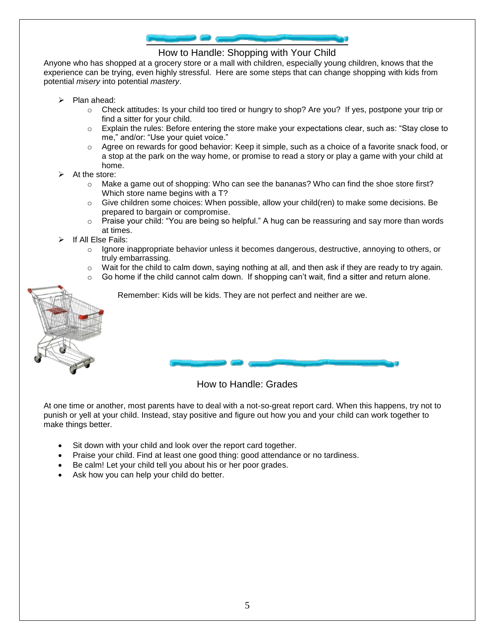

#### How to Handle: Shopping with Your Child

Anyone who has shopped at a grocery store or a mall with children, especially young children, knows that the experience can be trying, even highly stressful. Here are some steps that can change shopping with kids from potential *misery* into potential *mastery*.

- $\triangleright$  Plan ahead:
	- o Check attitudes: Is your child too tired or hungry to shop? Are you? If yes, postpone your trip or find a sitter for your child.
	- o Explain the rules: Before entering the store make your expectations clear, such as: "Stay close to me," and/or: "Use your quiet voice."
	- o Agree on rewards for good behavior: Keep it simple, such as a choice of a favorite snack food, or a stop at the park on the way home, or promise to read a story or play a game with your child at home.
- At the store:
	- $\circ$  Make a game out of shopping: Who can see the bananas? Who can find the shoe store first? Which store name begins with a T?
	- $\circ$  Give children some choices: When possible, allow your child(ren) to make some decisions. Be prepared to bargain or compromise.
	- o Praise your child: "You are being so helpful." A hug can be reassuring and say more than words at times.
- If All Else Fails:
	- $\circ$  Ignore inappropriate behavior unless it becomes dangerous, destructive, annoying to others, or truly embarrassing.
	- $\circ$  Wait for the child to calm down, saying nothing at all, and then ask if they are ready to try again.
	- Go home if the child cannot calm down. If shopping can't wait, find a sitter and return alone.



Remember: Kids will be kids. They are not perfect and neither are we.

### How to Handle: Grades

At one time or another, most parents have to deal with a not-so-great report card. When this happens, try not to punish or yell at your child. Instead, stay positive and figure out how you and your child can work together to make things better.

- Sit down with your child and look over the report card together.
- Praise your child. Find at least one good thing: good attendance or no tardiness.
- Be calm! Let your child tell you about his or her poor grades.
- Ask how you can help your child do better.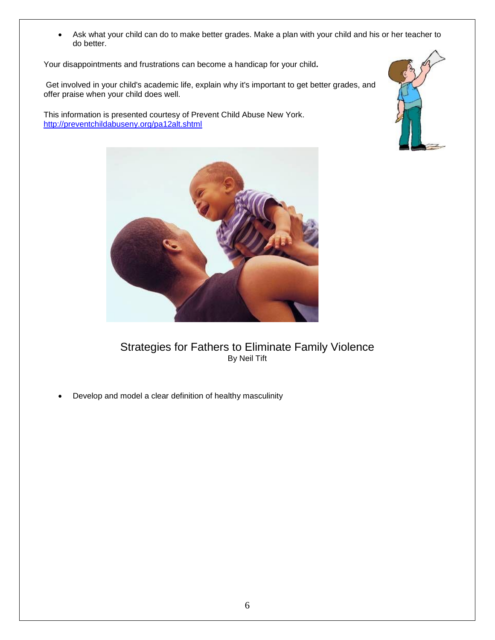Ask what your child can do to make better grades. Make a plan with your child and his or her teacher to do better.

Your disappointments and frustrations can become a handicap for your child*.*

Get involved in your child's academic life, explain why it's important to get better grades, and offer praise when your child does well.

This information is presented courtesy of Prevent Child Abuse New York. <http://preventchildabuseny.org/pa12alt.shtml>





## Strategies for Fathers to Eliminate Family Violence By Neil Tift

Develop and model a clear definition of healthy masculinity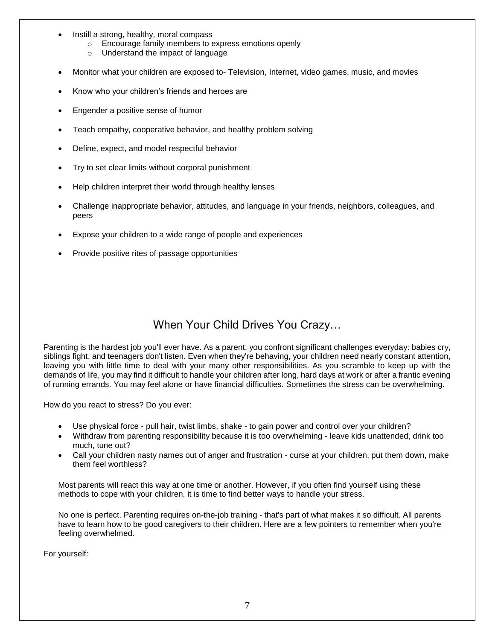- Instill a strong, healthy, moral compass
	- o Encourage family members to express emotions openly
	- o Understand the impact of language
- Monitor what your children are exposed to- Television, Internet, video games, music, and movies
- Know who your children's friends and heroes are
- Engender a positive sense of humor
- Teach empathy, cooperative behavior, and healthy problem solving
- Define, expect, and model respectful behavior
- Try to set clear limits without corporal punishment
- Help children interpret their world through healthy lenses
- Challenge inappropriate behavior, attitudes, and language in your friends, neighbors, colleagues, and peers
- Expose your children to a wide range of people and experiences
- Provide positive rites of passage opportunities

# When Your Child Drives You Crazy…

Parenting is the hardest job you'll ever have. As a parent, you confront significant challenges everyday: babies cry, siblings fight, and teenagers don't listen. Even when they're behaving, your children need nearly constant attention, leaving you with little time to deal with your many other responsibilities. As you scramble to keep up with the demands of life, you may find it difficult to handle your children after long, hard days at work or after a frantic evening of running errands. You may feel alone or have financial difficulties. Sometimes the stress can be overwhelming.

How do you react to stress? Do you ever:

- Use physical force pull hair, twist limbs, shake to gain power and control over your children?
- Withdraw from parenting responsibility because it is too overwhelming leave kids unattended, drink too much, tune out?
- Call your children nasty names out of anger and frustration curse at your children, put them down, make them feel worthless?

Most parents will react this way at one time or another. However, if you often find yourself using these methods to cope with your children, it is time to find better ways to handle your stress.

No one is perfect. Parenting requires on-the-job training - that's part of what makes it so difficult. All parents have to learn how to be good caregivers to their children. Here are a few pointers to remember when you're feeling overwhelmed.

For yourself: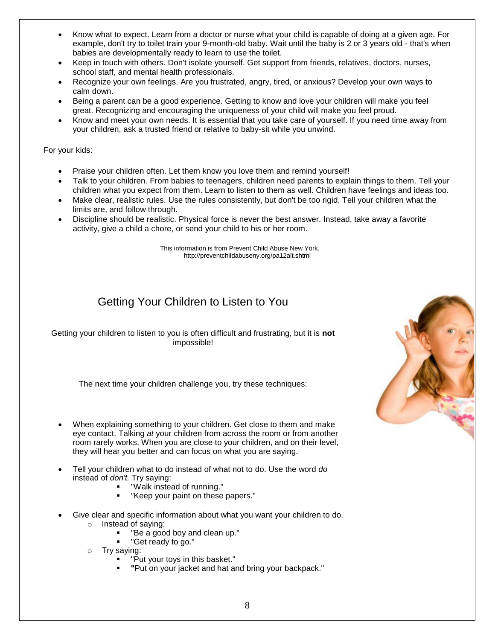- Know what to expect. Learn from a doctor or nurse what your child is capable of doing at a given age. For example, don't try to toilet train your 9-month-old baby. Wait until the baby is 2 or 3 years old - that's when babies are developmentally ready to learn to use the toilet.
- Keep in touch with others. Don't isolate yourself. Get support from friends, relatives, doctors, nurses, school staff, and mental health professionals.
- Recognize your own feelings. Are you frustrated, angry, tired, or anxious? Develop your own ways to calm down.
- Being a parent can be a good experience. Getting to know and love your children will make you feel great. Recognizing and encouraging the uniqueness of your child will make you feel proud.
- Know and meet your own needs. It is essential that you take care of yourself. If you need time away from your children, ask a trusted friend or relative to baby-sit while you unwind.

#### For your kids:

- Praise your children often. Let them know you love them and remind yourself!
- Talk to your children. From babies to teenagers, children need parents to explain things to them. Tell your children what you expect from them. Learn to listen to them as well. Children have feelings and ideas too.
- Make clear, realistic rules. Use the rules consistently, but don't be too rigid. Tell your children what the limits are, and follow through.
- Discipline should be realistic. Physical force is never the best answer. Instead, take away a favorite activity, give a child a chore, or send your child to his or her room.

This information is from Prevent Child Abuse New York. http://preventchildabuseny.org/pa12alt.shtml

# Getting Your Children to Listen to You

Getting your children to listen to you is often difficult and frustrating, but it is **not** impossible!

The next time your children challenge you, try these techniques:

- When explaining something to your children. Get close to them and make eye contact. Talking *at* your children from across the room or from another room rarely works. When you are close to your children, and on their level, they will hear you better and can focus on what you are saying.
- Tell your children what to do instead of what not to do. Use the word *do* instead of *don't.* Try saying:
	- "Walk instead of running."
	- "Keep your paint on these papers."
- Give clear and specific information about what you want your children to do.
	- o Instead of saying:
		- "Be a good boy and clean up."
		- "Get ready to go."
	- o Try saying:
		- "Put your toys in this basket."
		- **"**Put on your jacket and hat and bring your backpack."

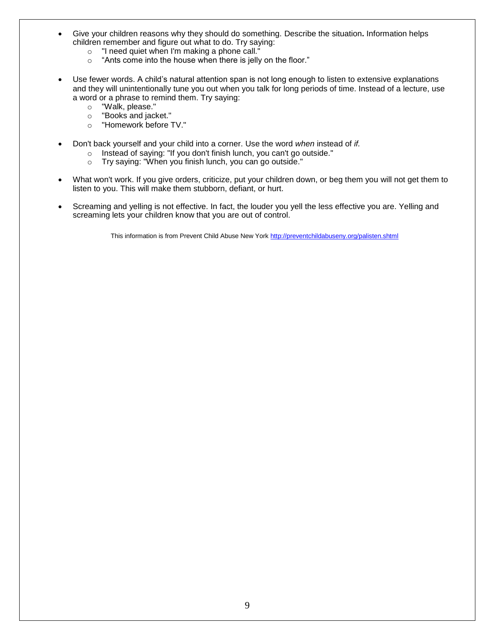- Give your children reasons why they should do something. Describe the situation**.** Information helps children remember and figure out what to do. Try saying:
	- o "I need quiet when I'm making a phone call."
	- o "Ants come into the house when there is jelly on the floor."
- Use fewer words. A child's natural attention span is not long enough to listen to extensive explanations and they will unintentionally tune you out when you talk for long periods of time. Instead of a lecture, use a word or a phrase to remind them. Try saying:
	- o "Walk, please."
	- o "Books and jacket."
	- o "Homework before TV."
- Don't back yourself and your child into a corner. Use the word *when* instead of *if.*
	- o Instead of saying: "If you don't finish lunch, you can't go outside."
	- o Try saying: "When you finish lunch, you can go outside."
- What won't work. If you give orders, criticize, put your children down, or beg them you will not get them to listen to you. This will make them stubborn, defiant, or hurt.
- Screaming and yelling is not effective. In fact, the louder you yell the less effective you are. Yelling and screaming lets your children know that you are out of control.

This information is from Prevent Child Abuse New Yor[k http://preventchildabuseny.org/palisten.shtml](http://preventchildabuseny.org/palisten.shtml)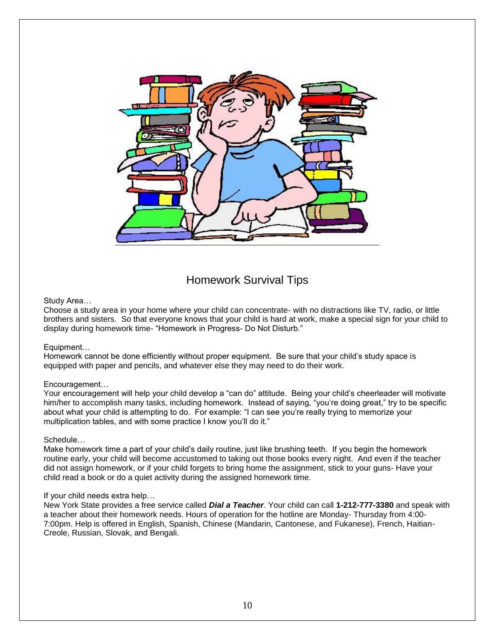

# Homework Survival Tips

#### Study Area…

Choose a study area in your home where your child can concentrate- with no distractions like TV, radio, or little brothers and sisters. So that everyone knows that your child is hard at work, make a special sign for your child to display during homework time- "Homework in Progress- Do Not Disturb."

#### Equipment…

Homework cannot be done efficiently without proper equipment. Be sure that your child's study space is equipped with paper and pencils, and whatever else they may need to do their work.

#### Encouragement…

Your encouragement will help your child develop a "can do" attitude. Being your child's cheerleader will motivate him/her to accomplish many tasks, including homework. Instead of saying, "you're doing great," try to be specific about what your child is attempting to do. For example: "I can see you're really trying to memorize your multiplication tables, and with some practice I know you'll do it."

#### Schedule…

Make homework time a part of your child's daily routine, just like brushing teeth. If you begin the homework routine early, your child will become accustomed to taking out those books every night. And even if the teacher did not assign homework, or if your child forgets to bring home the assignment, stick to your guns- Have your child read a book or do a quiet activity during the assigned homework time.

#### If your child needs extra help…

New York State provides a free service called *Dial a Teacher*. Your child can call **1-212-777-3380** and speak with a teacher about their homework needs. Hours of operation for the hotline are Monday- Thursday from 4:00- 7:00pm. Help is offered in English, Spanish, Chinese (Mandarin, Cantonese, and Fukanese), French, Haitian-Creole, Russian, Slovak, and Bengali.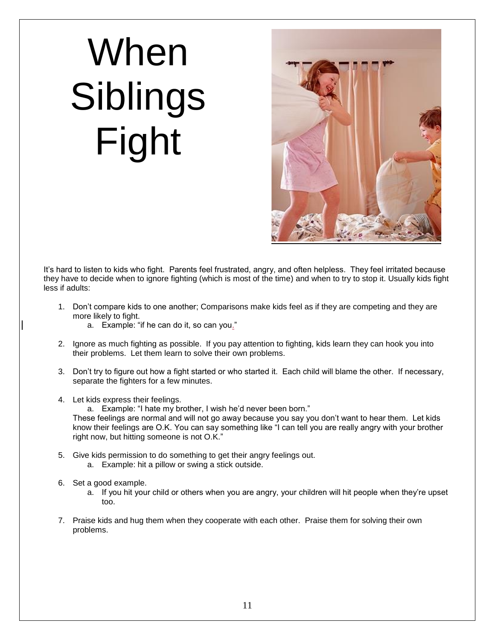# When Siblings Fight



It's hard to listen to kids who fight. Parents feel frustrated, angry, and often helpless. They feel irritated because they have to decide when to ignore fighting (which is most of the time) and when to try to stop it. Usually kids fight less if adults:

- 1. Don't compare kids to one another; Comparisons make kids feel as if they are competing and they are more likely to fight.
	- a. Example: "if he can do it, so can you."
- 2. Ignore as much fighting as possible. If you pay attention to fighting, kids learn they can hook you into their problems. Let them learn to solve their own problems.
- 3. Don't try to figure out how a fight started or who started it. Each child will blame the other. If necessary, separate the fighters for a few minutes.
- 4. Let kids express their feelings.

a. Example: "I hate my brother, I wish he'd never been born."

These feelings are normal and will not go away because you say you don't want to hear them. Let kids know their feelings are O.K. You can say something like "I can tell you are really angry with your brother right now, but hitting someone is not O.K."

- 5. Give kids permission to do something to get their angry feelings out. a. Example: hit a pillow or swing a stick outside.
- 6. Set a good example.
	- a. If you hit your child or others when you are angry, your children will hit people when they're upset too.
- 7. Praise kids and hug them when they cooperate with each other. Praise them for solving their own problems.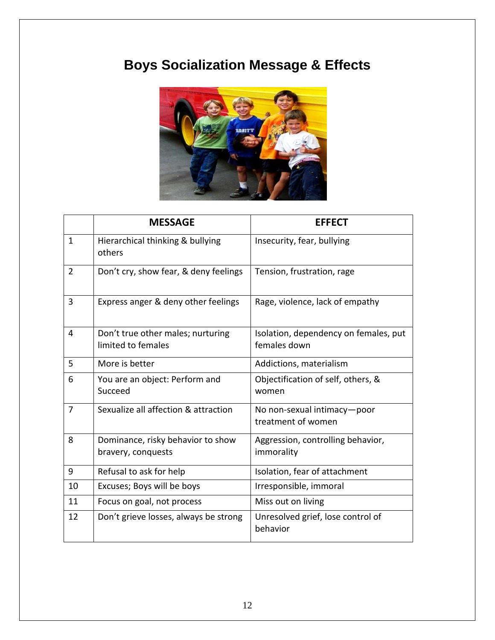# **Boys Socialization Message & Effects**



|                | <b>MESSAGE</b>                                          | <b>EFFECT</b>                                         |
|----------------|---------------------------------------------------------|-------------------------------------------------------|
| $\mathbf{1}$   | Hierarchical thinking & bullying<br>others              | Insecurity, fear, bullying                            |
| $\overline{2}$ | Don't cry, show fear, & deny feelings                   | Tension, frustration, rage                            |
| 3              | Express anger & deny other feelings                     | Rage, violence, lack of empathy                       |
| 4              | Don't true other males; nurturing<br>limited to females | Isolation, dependency on females, put<br>females down |
| 5              | More is better                                          | Addictions, materialism                               |
| 6              | You are an object: Perform and<br>Succeed               | Objectification of self, others, &<br>women           |
| $\overline{7}$ | Sexualize all affection & attraction                    | No non-sexual intimacy-poor<br>treatment of women     |
| 8              | Dominance, risky behavior to show<br>bravery, conquests | Aggression, controlling behavior,<br>immorality       |
| 9              | Refusal to ask for help                                 | Isolation, fear of attachment                         |
| 10             | Excuses; Boys will be boys                              | Irresponsible, immoral                                |
| 11             | Focus on goal, not process                              | Miss out on living                                    |
| 12             | Don't grieve losses, always be strong                   | Unresolved grief, lose control of<br>behavior         |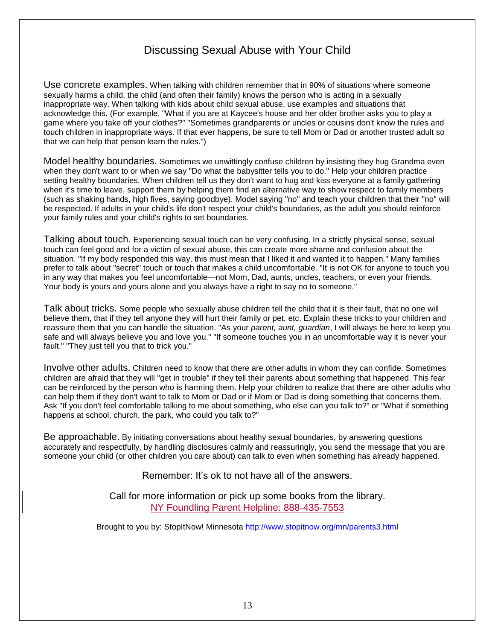# Discussing Sexual Abuse with Your Child

Use concrete examples. When talking with children remember that in 90% of situations where someone sexually harms a child, the child (and often their family) knows the person who is acting in a sexually inappropriate way. When talking with kids about child sexual abuse, use examples and situations that acknowledge this. (For example, "What if you are at Kaycee's house and her older brother asks you to play a game where you take off your clothes?" "Sometimes grandparents or uncles or cousins don't know the rules and touch children in inappropriate ways. If that ever happens, be sure to tell Mom or Dad or another trusted adult so that we can help that person learn the rules.")

Model healthy boundaries. Sometimes we unwittingly confuse children by insisting they hug Grandma even when they don't want to or when we say "Do what the babysitter tells you to do." Help your children practice setting healthy boundaries. When children tell us they don't want to hug and kiss everyone at a family gathering when it's time to leave, support them by helping them find an alternative way to show respect to family members (such as shaking hands, high fives, saying goodbye). Model saying "no" and teach your children that their "no" will be respected. If adults in your child's life don't respect your child's boundaries, as the adult you should reinforce your family rules and your child's rights to set boundaries.

Talking about touch. Experiencing sexual touch can be very confusing. In a strictly physical sense, sexual touch can feel good and for a victim of sexual abuse, this can create more shame and confusion about the situation. "If my body responded this way, this must mean that I liked it and wanted it to happen." Many families prefer to talk about "secret" touch or touch that makes a child uncomfortable. "It is not OK for anyone to touch you in any way that makes you feel uncomfortable—not Mom, Dad, aunts, uncles, teachers, or even your friends. Your body is yours and yours alone and you always have a right to say no to someone."

Talk about tricks. Some people who sexually abuse children tell the child that it is their fault, that no one will believe them, that if they tell anyone they will hurt their family or pet, etc. Explain these tricks to your children and reassure them that you can handle the situation. "As your *parent, aunt, guardian*, I will always be here to keep you safe and will always believe you and love you." "If someone touches you in an uncomfortable way it is never your fault." "They just tell you that to trick you."

Involve other adults. Children need to know that there are other adults in whom they can confide. Sometimes children are afraid that they will "get in trouble" if they tell their parents about something that happened. This fear can be reinforced by the person who is harming them. Help your children to realize that there are other adults who can help them if they don't want to talk to Mom or Dad or if Mom or Dad is doing something that concerns them. Ask "If you don't feel comfortable talking to me about something, who else can you talk to?" or "What if something happens at school, church, the park, who could you talk to?"

Be approachable. By initiating conversations about healthy sexual boundaries, by answering questions accurately and respectfully, by handling disclosures calmly and reassuringly, you send the message that you are someone your child (or other children you care about) can talk to even when something has already happened.

Remember: It's ok to not have all of the answers.

Call for more information or pick up some books from the library. NY Foundling Parent Helpline: 888-435-7553

Brought to you by: StopItNow! Minnesota<http://www.stopitnow.org/mn/parents3.html>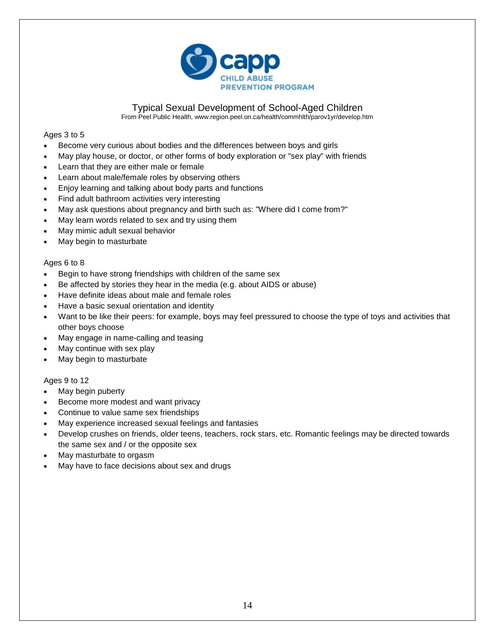

#### Typical Sexual Development of School-Aged Children

From Peel Public Health, www.region.peel.on.ca/health/commhlth/parov1yr/develop.htm

#### Ages 3 to 5

- Become very curious about bodies and the differences between boys and girls
- May play house, or doctor, or other forms of body exploration or "sex play" with friends
- Learn that they are either male or female
- Learn about male/female roles by observing others
- Enjoy learning and talking about body parts and functions
- Find adult bathroom activities very interesting
- May ask questions about pregnancy and birth such as: "Where did I come from?"
- May learn words related to sex and try using them
- May mimic adult sexual behavior
- May begin to masturbate

#### Ages 6 to 8

- Begin to have strong friendships with children of the same sex
- Be affected by stories they hear in the media (e.g. about AIDS or abuse)
- Have definite ideas about male and female roles
- Have a basic sexual orientation and identity
- Want to be like their peers: for example, boys may feel pressured to choose the type of toys and activities that other boys choose
- May engage in name-calling and teasing
- May continue with sex play
- May begin to masturbate

#### Ages 9 to 12

- May begin puberty
- Become more modest and want privacy
- Continue to value same sex friendships
- May experience increased sexual feelings and fantasies
- Develop crushes on friends, older teens, teachers, rock stars, etc. Romantic feelings may be directed towards the same sex and / or the opposite sex
- May masturbate to orgasm
- May have to face decisions about sex and drugs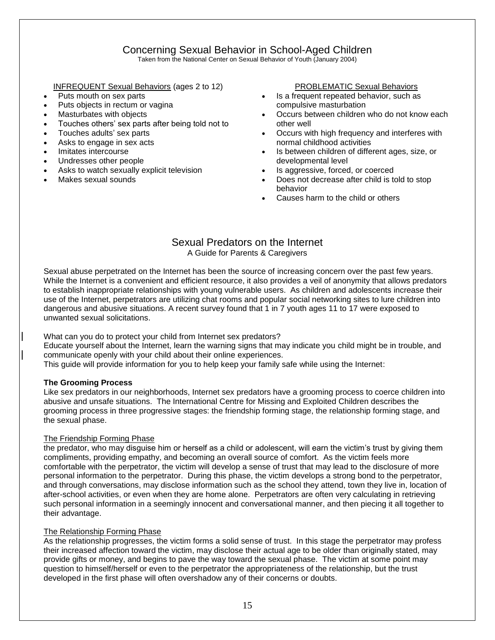# Concerning Sexual Behavior in School-Aged Children

Taken from the National Center on Sexual Behavior of Youth (January 2004)

#### INFREQUENT Sexual Behaviors (ages 2 to 12)

- Puts mouth on sex parts
- Puts objects in rectum or vagina
- Masturbates with objects
- Touches others' sex parts after being told not to
- Touches adults' sex parts
- Asks to engage in sex acts
- Imitates intercourse
- Undresses other people
- Asks to watch sexually explicit television
- Makes sexual sounds

#### PROBLEMATIC Sexual Behaviors

- Is a frequent repeated behavior, such as compulsive masturbation
- Occurs between children who do not know each other well
- Occurs with high frequency and interferes with normal childhood activities
- Is between children of different ages, size, or developmental level
- Is aggressive, forced, or coerced
- Does not decrease after child is told to stop behavior
- Causes harm to the child or others

#### Sexual Predators on the Internet A Guide for Parents & Caregivers

Sexual abuse perpetrated on the Internet has been the source of increasing concern over the past few years. While the Internet is a convenient and efficient resource, it also provides a veil of anonymity that allows predators to establish inappropriate relationships with young vulnerable users. As children and adolescents increase their use of the Internet, perpetrators are utilizing chat rooms and popular social networking sites to lure children into dangerous and abusive situations. A recent survey found that 1 in 7 youth ages 11 to 17 were exposed to unwanted sexual solicitations.

What can you do to protect your child from Internet sex predators?

Educate yourself about the Internet, learn the warning signs that may indicate you child might be in trouble, and communicate openly with your child about their online experiences.

This guide will provide information for you to help keep your family safe while using the Internet:

#### **The Grooming Process**

Like sex predators in our neighborhoods, Internet sex predators have a grooming process to coerce children into abusive and unsafe situations. The International Centre for Missing and Exploited Children describes the grooming process in three progressive stages: the friendship forming stage, the relationship forming stage, and the sexual phase.

#### The Friendship Forming Phase

the predator, who may disguise him or herself as a child or adolescent, will earn the victim's trust by giving them compliments, providing empathy, and becoming an overall source of comfort. As the victim feels more comfortable with the perpetrator, the victim will develop a sense of trust that may lead to the disclosure of more personal information to the perpetrator. During this phase, the victim develops a strong bond to the perpetrator, and through conversations, may disclose information such as the school they attend, town they live in, location of after-school activities, or even when they are home alone. Perpetrators are often very calculating in retrieving such personal information in a seemingly innocent and conversational manner, and then piecing it all together to their advantage.

#### The Relationship Forming Phase

As the relationship progresses, the victim forms a solid sense of trust. In this stage the perpetrator may profess their increased affection toward the victim, may disclose their actual age to be older than originally stated, may provide gifts or money, and begins to pave the way toward the sexual phase. The victim at some point may question to himself/herself or even to the perpetrator the appropriateness of the relationship, but the trust developed in the first phase will often overshadow any of their concerns or doubts.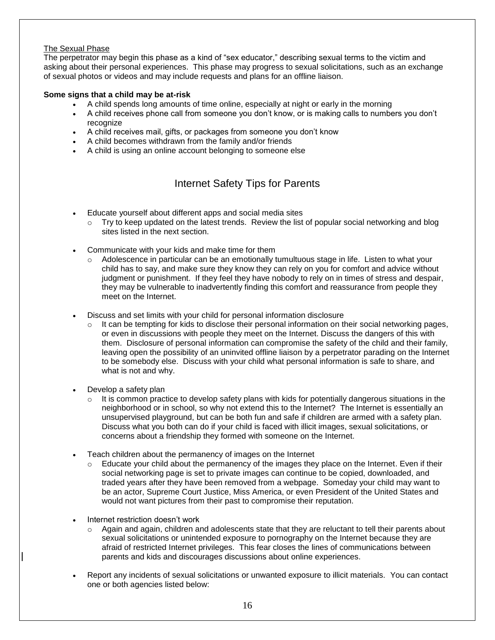#### The Sexual Phase

The perpetrator may begin this phase as a kind of "sex educator," describing sexual terms to the victim and asking about their personal experiences. This phase may progress to sexual solicitations, such as an exchange of sexual photos or videos and may include requests and plans for an offline liaison.

#### **Some signs that a child may be at-risk**

- A child spends long amounts of time online, especially at night or early in the morning
- A child receives phone call from someone you don't know, or is making calls to numbers you don't recognize
- A child receives mail, gifts, or packages from someone you don't know
- A child becomes withdrawn from the family and/or friends
- A child is using an online account belonging to someone else

# Internet Safety Tips for Parents

- Educate yourself about different apps and social media sites
	- $\circ$  Try to keep updated on the latest trends. Review the list of popular social networking and blog sites listed in the next section.
- Communicate with your kids and make time for them
	- $\circ$  Adolescence in particular can be an emotionally tumultuous stage in life. Listen to what your child has to say, and make sure they know they can rely on you for comfort and advice without judgment or punishment. If they feel they have nobody to rely on in times of stress and despair, they may be vulnerable to inadvertently finding this comfort and reassurance from people they meet on the Internet.
- Discuss and set limits with your child for personal information disclosure
	- It can be tempting for kids to disclose their personal information on their social networking pages, or even in discussions with people they meet on the Internet. Discuss the dangers of this with them. Disclosure of personal information can compromise the safety of the child and their family, leaving open the possibility of an uninvited offline liaison by a perpetrator parading on the Internet to be somebody else. Discuss with your child what personal information is safe to share, and what is not and why.
- Develop a safety plan
	- It is common practice to develop safety plans with kids for potentially dangerous situations in the neighborhood or in school, so why not extend this to the Internet? The Internet is essentially an unsupervised playground, but can be both fun and safe if children are armed with a safety plan. Discuss what you both can do if your child is faced with illicit images, sexual solicitations, or concerns about a friendship they formed with someone on the Internet.
- Teach children about the permanency of images on the Internet
	- $\circ$  Educate your child about the permanency of the images they place on the Internet. Even if their social networking page is set to private images can continue to be copied, downloaded, and traded years after they have been removed from a webpage. Someday your child may want to be an actor, Supreme Court Justice, Miss America, or even President of the United States and would not want pictures from their past to compromise their reputation.
- Internet restriction doesn't work
	- $\circ$  Again and again, children and adolescents state that they are reluctant to tell their parents about sexual solicitations or unintended exposure to pornography on the Internet because they are afraid of restricted Internet privileges. This fear closes the lines of communications between parents and kids and discourages discussions about online experiences.
- Report any incidents of sexual solicitations or unwanted exposure to illicit materials.You can contact one or both agencies listed below: